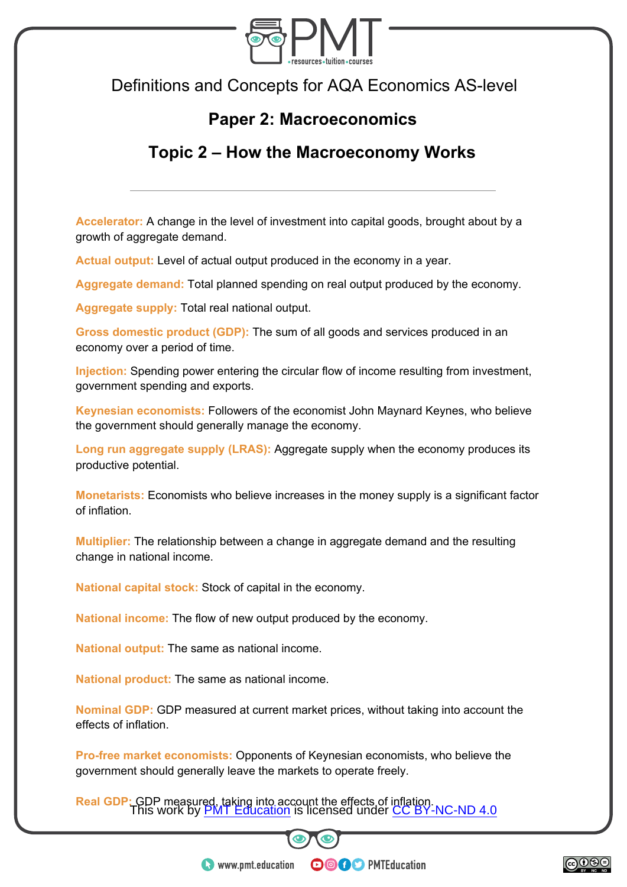

Definitions and Concepts for AQA Economics AS-level

## **Paper 2: Macroeconomics**

## **Topic 2 – How the Macroeconomy Works**

**Accelerator:** A change in the level of investment into capital goods, brought about by a growth of aggregate demand.

**Actual output:** Level of actual output produced in the economy in a year.

**Aggregate demand:** Total planned spending on real output produced by the economy.

**Aggregate supply:** Total real national output.

**Gross domestic product (GDP):** The sum of all goods and services produced in an economy over a period of time.

**Injection:** Spending power entering the circular flow of income resulting from investment, government spending and exports.

**Keynesian economists:** Followers of the economist John Maynard Keynes, who believe the government should generally manage the economy.

**Long run aggregate supply (LRAS):** Aggregate supply when the economy produces its productive potential.

**Monetarists:** Economists who believe increases in the money supply is a significant factor of inflation.

**Multiplier:** The relationship between a change in aggregate demand and the resulting change in national income.

**National capital stock:** Stock of capital in the economy.

**National income:** The flow of new output produced by the economy.

**National output:** The same as national income.

**National product:** The same as national income.

**Nominal GDP:** GDP measured at current market prices, without taking into account the effects of inflation.

**Pro-free market economists:** Opponents of Keynesian economists, who believe the government should generally leave the markets to operate freely.

**Real GDP: GDP measured, taking into account the effects of inflation.**<br>This work by PMT Education is licensed under CC BY-NC-ND 4.0 This work by **PMT Education** is licensed under CC BY-NC-ND 4.0

**OOOO** PMTEducation